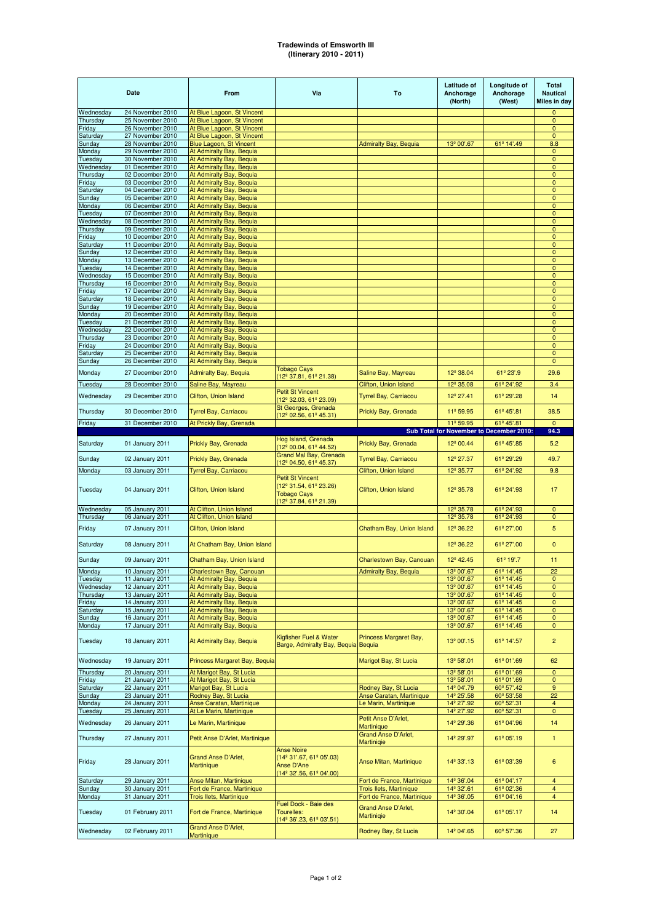## **Tradewinds of Emsworth III (Itinerary 2010 - 2011)**

|                       | <b>Date</b>                          | From                                                     | Via                                                                                               | To                                               | <b>Latitude of</b><br>Anchorage<br>(North)       | Longitude of<br>Anchorage<br>(West)      | <b>Total</b><br><b>Nautical</b><br>Miles in day |
|-----------------------|--------------------------------------|----------------------------------------------------------|---------------------------------------------------------------------------------------------------|--------------------------------------------------|--------------------------------------------------|------------------------------------------|-------------------------------------------------|
| Wednesday             | 24 November 2010                     | At Blue Lagoon, St Vincent                               |                                                                                                   |                                                  |                                                  |                                          | $\Omega$                                        |
| Thursday              | 25 November 2010<br>26 November 2010 | At Blue Lagoon, St Vincent<br>At Blue Lagoon, St Vincent |                                                                                                   |                                                  |                                                  |                                          | $\mathbf{0}$<br>0                               |
| Friday<br>Saturday    | 27 November 2010                     | At Blue Lagoon, St Vincent                               |                                                                                                   |                                                  |                                                  |                                          | $\mathbf{0}$                                    |
| Sunday                | 28 November 2010                     | Blue Lagoon, St Vincent                                  |                                                                                                   | <b>Admiralty Bay, Bequia</b>                     | 13 <sup>°</sup> 00'.67                           | 61º 14'.49                               | 8.8                                             |
| Monday                | 29 November 2010                     | At Admiralty Bay, Bequia                                 |                                                                                                   |                                                  |                                                  |                                          | 0                                               |
| Tuesday               | 30 November 2010                     | At Admiralty Bay, Bequia                                 |                                                                                                   |                                                  |                                                  |                                          | $\pmb{0}$                                       |
| Wednesday             | 01 December 2010                     | At Admiralty Bay, Bequia                                 |                                                                                                   |                                                  |                                                  |                                          | 0                                               |
| Thursday              | 02 December 2010                     | At Admiralty Bay, Bequia                                 |                                                                                                   |                                                  |                                                  |                                          | $\pmb{0}$                                       |
| Friday                | 03 December 2010<br>04 December 2010 | At Admiralty Bay, Bequia                                 |                                                                                                   |                                                  |                                                  |                                          | $\mathbf{0}$<br>$\pmb{0}$                       |
| Saturday<br>Sunday    | 05 December 2010                     | At Admiralty Bay, Bequia<br>At Admiralty Bay, Bequia     |                                                                                                   |                                                  |                                                  |                                          | $\mathbf{0}$                                    |
| Monday                | 06 December 2010                     | At Admiralty Bay, Bequia                                 |                                                                                                   |                                                  |                                                  |                                          | $\mathbf{0}$                                    |
| Tuesday               | 07 December 2010                     | At Admiralty Bay, Bequia                                 |                                                                                                   |                                                  |                                                  |                                          | 0                                               |
| Wednesday             | 08 December 2010                     | At Admiralty Bay, Bequia                                 |                                                                                                   |                                                  |                                                  |                                          | $\pmb{0}$                                       |
| Thursday              | 09 December 2010                     | At Admiralty Bay, Bequia                                 |                                                                                                   |                                                  |                                                  |                                          | $\mathbf{0}$                                    |
| Friday                | 10 December 2010                     | At Admiralty Bay, Bequia                                 |                                                                                                   |                                                  |                                                  |                                          | $\mathbf{0}$                                    |
| Saturday              | 11 December 2010                     | At Admiralty Bay, Bequia                                 |                                                                                                   |                                                  |                                                  |                                          | $\mathbf 0$                                     |
| Sunday                | 12 December 2010                     | At Admiralty Bay, Bequia                                 |                                                                                                   |                                                  |                                                  |                                          | 0                                               |
| Monday                | 13 December 2010                     | At Admiralty Bay, Bequia                                 |                                                                                                   |                                                  |                                                  |                                          | $\mathbf{0}$                                    |
| Tuesday               | 14 December 2010<br>15 December 2010 | At Admiralty Bay, Bequia<br>At Admiralty Bay, Bequia     |                                                                                                   |                                                  |                                                  |                                          | $\pmb{0}$<br>$\mathbf{0}$                       |
| Wednesday<br>Thursday | 16 December 2010                     | At Admiralty Bay, Bequia                                 |                                                                                                   |                                                  |                                                  |                                          | $\mathbf{0}$                                    |
| Friday                | 17 December 2010                     | At Admiralty Bay, Bequia                                 |                                                                                                   |                                                  |                                                  |                                          | $\mathbf{0}$                                    |
| Saturday              | 18 December 2010                     | At Admiralty Bay, Bequia                                 |                                                                                                   |                                                  |                                                  |                                          | 0                                               |
| Sunday                | 19 December 2010                     | At Admiralty Bay, Bequia                                 |                                                                                                   |                                                  |                                                  |                                          | $\mathbf{0}$                                    |
| Monday                | 20 December 2010                     | At Admiralty Bay, Bequia                                 |                                                                                                   |                                                  |                                                  |                                          | $\pmb{0}$                                       |
| Tuesday               | 21 December 2010                     | At Admiralty Bay, Bequia                                 |                                                                                                   |                                                  |                                                  |                                          | $\mathbf{0}$                                    |
| Wednesday             | 22 December 2010                     | At Admiralty Bay, Bequia                                 |                                                                                                   |                                                  |                                                  |                                          | $\mathbf{0}$                                    |
| Thursday              | 23 December 2010                     | At Admiralty Bay, Bequia                                 |                                                                                                   |                                                  |                                                  |                                          | $\pmb{0}$                                       |
| Friday                | 24 December 2010                     | At Admiralty Bay, Bequia                                 |                                                                                                   |                                                  |                                                  |                                          | $\pmb{0}$                                       |
| Saturday              | 25 December 2010<br>26 December 2010 | At Admiralty Bay, Bequia<br>At Admiralty Bay, Bequia     |                                                                                                   |                                                  |                                                  |                                          | $\pmb{0}$<br>0                                  |
| Sunday                |                                      |                                                          | <b>Tobago Cays</b>                                                                                |                                                  |                                                  |                                          |                                                 |
| Monday                | 27 December 2010                     | <b>Admiralty Bay, Bequia</b>                             | (12º 37.81, 61º 21.38)                                                                            | Saline Bay, Mayreau                              | 12 <sup>°</sup> 38.04                            | 61º 23'.9                                | 29.6                                            |
| Tuesday               | 28 December 2010                     | Saline Bay, Mayreau                                      |                                                                                                   | Clifton, Union Island                            | 12 <sup>°</sup> 35.08                            | 61º 24'.92                               | 3.4                                             |
| Wednesday             | 29 December 2010                     | Clifton, Union Island                                    | <b>Petit St Vincent</b><br>12 <sup>°</sup> 32.03, 61 <sup>°</sup> 23.09)                          | Tyrrel Bay, Carriacou                            | 12 <sup>°</sup> 27.41                            | 61º 29'.28                               | 14                                              |
| Thursday              | 30 December 2010                     | Tyrrel Bay, Carriacou                                    | St Georges, Grenada<br>(12º 02.56, 61º 45.31)                                                     | Prickly Bay, Grenada                             | 11º 59.95                                        | 61º 45'.81                               | 38.5                                            |
| Friday                | 31 December 2010                     | At Prickly Bay, Grenada                                  |                                                                                                   |                                                  | 11º 59.95                                        | 61º 45'.81                               | $\mathbf{0}$                                    |
|                       |                                      |                                                          |                                                                                                   |                                                  |                                                  | Sub Total for November to December 2010: | 94.3                                            |
| Saturday              | 01 January 2011                      | Prickly Bay, Grenada                                     | Hog Island, Grenada                                                                               | Prickly Bay, Grenada                             | 12 <sup>º</sup> 00.44                            | 61º 45'.85                               | 5.2                                             |
|                       |                                      |                                                          | (12º 00.04, 61º 44.52)<br>Grand Mal Bay, Grenada                                                  |                                                  |                                                  |                                          |                                                 |
| Sunday                | 02 January 2011                      | Prickly Bay, Grenada                                     | (12º 04.50, 61º 45.37)                                                                            | Tyrrel Bay, Carriacou                            | 12 <sup>°</sup> 27.37                            | 61º 29'.29                               | 49.7                                            |
| Monday                | 03 January 2011                      | <b>Tyrrel Bay, Carriacou</b>                             |                                                                                                   | Clifton, Union Island                            | 12 <sup>°</sup> 35.77                            | 61º 24'.92                               | 9.8                                             |
| Tuesday               | 04 January 2011                      | Clifton, Union Island                                    | <b>Petit St Vincent</b><br>(12º 31.54, 61º 23.26)<br><b>Tobago Cays</b><br>(12º 37.84, 61º 21.39) | Clifton, Union Island                            | 12 <sup>°</sup> 35.78                            | 61º 24'.93                               | 17                                              |
| Wednesday             | 05 January 2011                      | At Clifton, Union Island                                 |                                                                                                   |                                                  | 12 <sup>°</sup> 35.78                            | 61º 24'.93                               | $\mathbf 0$                                     |
| Thursday              | 06 January 2011                      | At Clifton, Union Island                                 |                                                                                                   |                                                  | 12 <sup>°</sup> 35.78                            | 61º 24'.93                               | $\pmb{0}$                                       |
| Friday                | 07 January 2011                      | Clifton, Union Island                                    |                                                                                                   | Chatham Bay, Union Island                        | 12 <sup>°</sup> 36.22                            | 61º 27'.00                               | 5                                               |
| Saturday              | 08 January 2011                      | At Chatham Bay, Union Island                             |                                                                                                   |                                                  | 12 <sup>°</sup> 36.22                            | 61º 27'.00                               | $\mathbf{0}$                                    |
| Sunday                | 09 January 2011                      | Chatham Bay, Union Island                                |                                                                                                   | Charlestown Bay, Canouan                         | 12 <sup>°</sup> 42.45                            | 61º 19'.7                                | 11                                              |
| Monday                | 10 January 2011                      | Charlestown Bay, Canouan                                 |                                                                                                   | Admiralty Bay, Bequia                            | 13º 00'.67                                       | $61^{\circ}$ 14.45                       | 22                                              |
| Tuesday               | 11 January 2011                      | At Admiralty Bay, Bequia                                 |                                                                                                   |                                                  | 13 <sup>°</sup> 00'.67                           | 61º 14'.45                               | $\mathbf{0}$                                    |
| Wednesday             | 12 January 2011                      | At Admiralty Bay, Bequia                                 |                                                                                                   |                                                  | 13 <sup>°</sup> 00'.67                           | 61º 14'.45                               | $\mathbf 0$                                     |
| Thursday<br>Friday    | 13 January 2011<br>14 January 2011   | At Admiralty Bay, Bequia<br>At Admiralty Bay, Bequia     |                                                                                                   |                                                  | 13 <sup>°</sup> 00'.67<br>13 <sup>°</sup> 00'.67 | 61º 14'.45<br>61º 14'.45                 | $\mathbf 0$<br>$\mathbf{0}$                     |
| Saturday              | 15 January 2011                      | At Admiralty Bay, Bequia                                 |                                                                                                   |                                                  | 13 <sup>°</sup> 00'.67                           | 61º 14'.45                               | $\mathbf{0}$                                    |
| Sunday                | 16 January 2011                      | At Admiralty Bay, Bequia                                 |                                                                                                   |                                                  | 13 <sup>°</sup> 00'.67                           | 61º 14'.45                               | $\mathbf 0$                                     |
| Monday                | 17 January 2011                      | At Admiralty Bay, Bequia                                 |                                                                                                   |                                                  | 13 <sup>º</sup> 00'.67                           | 61º 14'.45                               | 0                                               |
| Tuesday               | 18 January 2011                      | At Admiralty Bay, Bequia                                 | Kigfisher Fuel & Water<br>Barge, Admiralty Bay, Bequia Bequia                                     | Princess Margaret Bay,                           | 13 <sup>º</sup> 00'.15                           | 61º 14'.57                               | $\overline{c}$                                  |
| Wednesday             | 19 January 2011                      | Princess Margaret Bay, Bequia                            |                                                                                                   | Marigot Bay, St Lucia                            | 13 <sup>°</sup> 58'.01                           | 61º 01'.69                               | 62                                              |
| Thursday              | 20 January 2011                      | At Marigot Bay, St Lucia                                 |                                                                                                   |                                                  | 13 <sup>°</sup> 58'.01                           | 61º 01'.69                               | $\mathbf 0$                                     |
| Friday                | 21 January 2011                      | At Marigot Bay, St Lucia                                 |                                                                                                   |                                                  | 13 <sup>°</sup> 58'.01                           | 61º 01'.69                               | 0                                               |
| Saturday<br>Sunday    | 22 January 2011<br>23 January 2011   | Marigot Bay, St Lucia                                    |                                                                                                   | Rodney Bay, St Lucia<br>Anse Caratan, Martinique | 14 <sup>°</sup> 04'.79<br>14 <sup>°</sup> 25'.58 | 60° 57'.42<br>60 <sup>°</sup> 53'.58     | 9<br>22                                         |
| Monday                |                                      | Rodney Bay, St Lucia                                     |                                                                                                   |                                                  |                                                  | 60 <sup>°</sup> 52'.31                   |                                                 |
| Tuesday               | 24 January 2011<br>25 January 2011   | Anse Caratan, Martinique<br>At Le Marin, Martinique      |                                                                                                   | Le Marin, Martinique                             | 14 <sup>°</sup> 27'.92<br>14 <sup>°</sup> 27'.92 | 60 <sup>°</sup> 52'.31                   | 4<br>0                                          |
|                       |                                      |                                                          |                                                                                                   | Petit Anse D'Arlet,                              |                                                  |                                          |                                                 |
| Wednesday             | 26 January 2011                      | Le Marin, Martinique                                     |                                                                                                   | <b>Martinique</b><br><b>Grand Anse D'Arlet,</b>  | 14 <sup>°</sup> 29'.36                           | 61º 04'.96                               | 14                                              |
| Thursday<br>Friday    | 27 January 2011<br>28 January 2011   | Petit Anse D'Arlet, Martinique<br>Grand Anse D'Arlet,    | <b>Anse Noire</b><br>$(14^{\circ} 31'.67, 61^{\circ} 05'.03)$<br><b>Anse D'Ane</b>                | Martiniqie<br>Anse Mitan, Martinique             | 14 <sup>°</sup> 29'.97<br>14 <sup>°</sup> 33'.13 | 61º 05'.19<br>61º 03'.39                 | 1<br>6                                          |
|                       |                                      | <b>Martinique</b>                                        | (14 <sup>°</sup> 32'.56, 61 <sup>°</sup> 04'.00)                                                  |                                                  |                                                  |                                          |                                                 |
| Saturday              | 29 January 2011                      | Anse Mitan, Martinique                                   |                                                                                                   | Fort de France, Martinique                       | 14 <sup>°</sup> 36'.04                           | 61º 04'.17                               | $\overline{\mathbf{4}}$                         |
| Sunday                | 30 January 2011                      | Fort de France, Martinique                               |                                                                                                   | Trois Ilets, Martinique                          | 14 <sup>°</sup> 32'.61                           | 61º 02'.36                               | 4                                               |
| Monday                | 31 January 2011                      | Trois Ilets, Martinique                                  |                                                                                                   | Fort de France, Martinique                       | 14 <sup>°</sup> 36'.05                           | 61º 04'.16                               | 4                                               |
| Tuesday               | 01 February 2011                     | Fort de France, Martinique                               | Fuel Dock - Baie des<br>Tourelles:<br>(14º 36'.23, 61º 03'.51)                                    | Grand Anse D'Arlet,<br>Martiniqie                | 14 <sup>°</sup> 30'.04                           | 61º 05'.17                               | 14                                              |
| Wednesday             | 02 February 2011                     | Grand Anse D'Arlet,<br>Martinique                        |                                                                                                   | Rodney Bay, St Lucia                             | 14 <sup>°</sup> 04'.65                           | 60 <sup>°</sup> 57'.36                   | 27                                              |